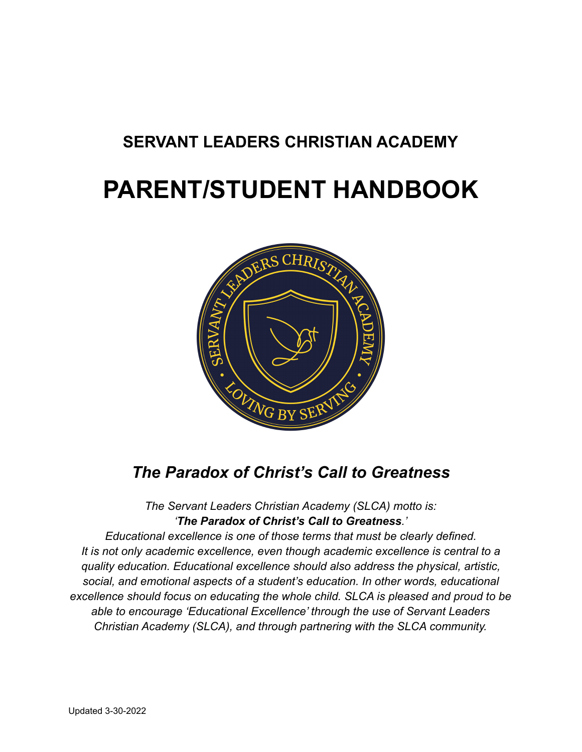# **SERVANT LEADERS CHRISTIAN ACADEMY**

# **PARENT/STUDENT HANDBOOK**



# *The Paradox of Christ's Call to Greatness*

*The Servant Leaders Christian Academy (SLCA) motto is: 'The Paradox of Christ's Call to Greatness.'*

*Educational excellence is one of those terms that must be clearly defined. It is not only academic excellence, even though academic excellence is central to a quality education. Educational excellence should also address the physical, artistic, social, and emotional aspects of a student's education. In other words, educational excellence should focus on educating the whole child. SLCA is pleased and proud to be able to encourage 'Educational Excellence' through the use of Servant Leaders Christian Academy (SLCA), and through partnering with the SLCA community.*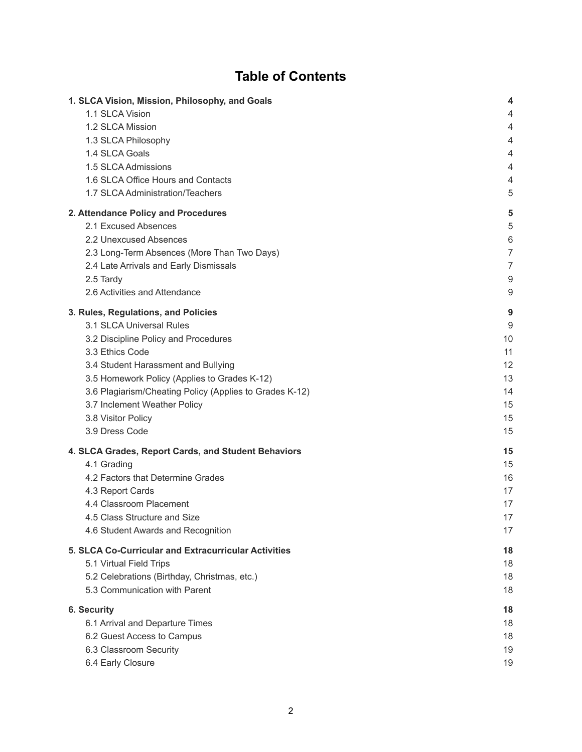# **Table of Contents**

| 1. SLCA Vision, Mission, Philosophy, and Goals          | 4              |
|---------------------------------------------------------|----------------|
| 1.1 SLCA Vision                                         | 4              |
| 1.2 SLCA Mission                                        | 4              |
| 1.3 SLCA Philosophy                                     | 4              |
| 1.4 SLCA Goals                                          | 4              |
| 1.5 SLCA Admissions                                     | 4              |
| 1.6 SLCA Office Hours and Contacts                      | 4              |
| 1.7 SLCA Administration/Teachers                        | 5              |
| 2. Attendance Policy and Procedures                     | 5              |
| 2.1 Excused Absences                                    | 5              |
| 2.2 Unexcused Absences                                  | 6              |
| 2.3 Long-Term Absences (More Than Two Days)             | $\overline{7}$ |
| 2.4 Late Arrivals and Early Dismissals                  | $\overline{7}$ |
| 2.5 Tardy                                               | 9              |
| 2.6 Activities and Attendance                           | 9              |
| 3. Rules, Regulations, and Policies                     | 9              |
| 3.1 SLCA Universal Rules                                | 9              |
| 3.2 Discipline Policy and Procedures                    | 10             |
| 3.3 Ethics Code                                         | 11             |
| 3.4 Student Harassment and Bullying                     | 12             |
| 3.5 Homework Policy (Applies to Grades K-12)            | 13             |
| 3.6 Plagiarism/Cheating Policy (Applies to Grades K-12) | 14             |
| 3.7 Inclement Weather Policy                            | 15             |
| 3.8 Visitor Policy                                      | 15             |
| 3.9 Dress Code                                          | 15             |
| 4. SLCA Grades, Report Cards, and Student Behaviors     | 15             |
| 4.1 Grading                                             | 15             |
| 4.2 Factors that Determine Grades                       | 16             |
| 4.3 Report Cards                                        | 17             |
| 4.4 Classroom Placement                                 | 17             |
| 4.5 Class Structure and Size                            | 17             |
| 4.6 Student Awards and Recognition                      | 17             |
| 5. SLCA Co-Curricular and Extracurricular Activities    | 18             |
| 5.1 Virtual Field Trips                                 | 18             |
| 5.2 Celebrations (Birthday, Christmas, etc.)            | 18             |
| 5.3 Communication with Parent                           | 18             |
| 6. Security                                             | 18             |
| 6.1 Arrival and Departure Times                         | 18             |
| 6.2 Guest Access to Campus                              | 18             |
| 6.3 Classroom Security                                  | 19             |
| 6.4 Early Closure                                       | 19             |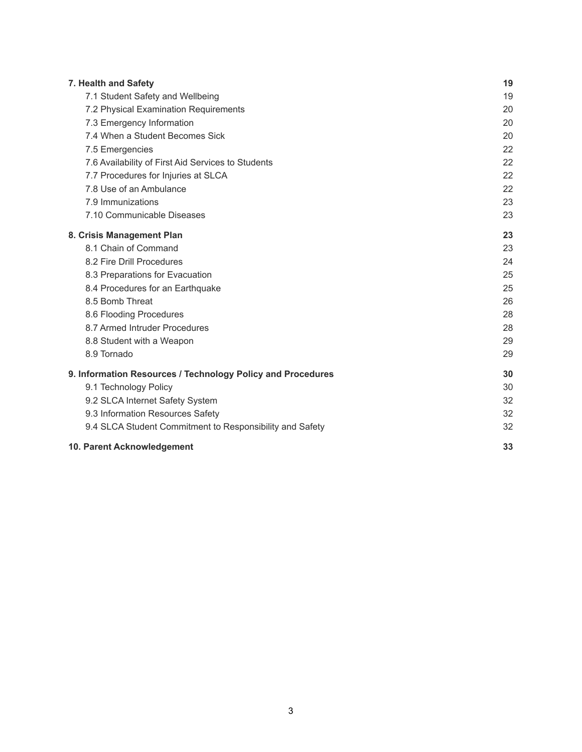| 7. Health and Safety                                        | 19 |
|-------------------------------------------------------------|----|
| 7.1 Student Safety and Wellbeing                            | 19 |
| 7.2 Physical Examination Requirements                       | 20 |
| 7.3 Emergency Information                                   | 20 |
| 7.4 When a Student Becomes Sick                             | 20 |
| 7.5 Emergencies                                             | 22 |
| 7.6 Availability of First Aid Services to Students          | 22 |
| 7.7 Procedures for Injuries at SLCA                         | 22 |
| 7.8 Use of an Ambulance                                     | 22 |
| 7.9 Immunizations                                           | 23 |
| 7.10 Communicable Diseases                                  | 23 |
| 8. Crisis Management Plan                                   | 23 |
| 8.1 Chain of Command                                        | 23 |
| 8.2 Fire Drill Procedures                                   | 24 |
| 8.3 Preparations for Evacuation                             | 25 |
| 8.4 Procedures for an Earthquake                            | 25 |
| 8.5 Bomb Threat                                             | 26 |
| 8.6 Flooding Procedures                                     | 28 |
| 8.7 Armed Intruder Procedures                               | 28 |
| 8.8 Student with a Weapon                                   | 29 |
| 8.9 Tornado                                                 | 29 |
| 9. Information Resources / Technology Policy and Procedures | 30 |
| 9.1 Technology Policy                                       | 30 |
| 9.2 SLCA Internet Safety System                             | 32 |
| 9.3 Information Resources Safety                            | 32 |
| 9.4 SLCA Student Commitment to Responsibility and Safety    | 32 |
| 10. Parent Acknowledgement                                  | 33 |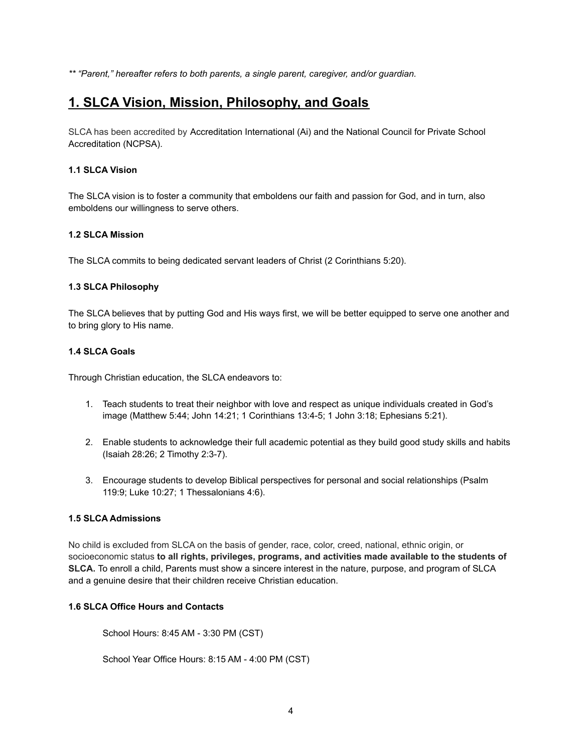<span id="page-3-0"></span>*\*\* "Parent," hereafter refers to both parents, a single parent, caregiver, and/or guardian.*

# **1. SLCA Vision, Mission, Philosophy, and Goals**

SLCA has been accredited by Accreditation International (Ai) and the National Council for Private School Accreditation (NCPSA).

#### <span id="page-3-1"></span>**1.1 SLCA Vision**

The SLCA vision is to foster a community that emboldens our faith and passion for God, and in turn, also emboldens our willingness to serve others.

#### <span id="page-3-2"></span>**1.2 SLCA Mission**

<span id="page-3-3"></span>The SLCA commits to being dedicated servant leaders of Christ (2 Corinthians 5:20).

#### **1.3 SLCA Philosophy**

The SLCA believes that by putting God and His ways first, we will be better equipped to serve one another and to bring glory to His name.

#### <span id="page-3-4"></span>**1.4 SLCA Goals**

Through Christian education, the SLCA endeavors to:

- 1. Teach students to treat their neighbor with love and respect as unique individuals created in God's image (Matthew 5:44; John 14:21; 1 Corinthians 13:4-5; 1 John 3:18; Ephesians 5:21).
- 2. Enable students to acknowledge their full academic potential as they build good study skills and habits (Isaiah 28:26; 2 Timothy 2:3-7).
- 3. Encourage students to develop Biblical perspectives for personal and social relationships (Psalm 119:9; Luke 10:27; 1 Thessalonians 4:6).

#### <span id="page-3-5"></span>**1.5 SLCA Admissions**

No child is excluded from SLCA on the basis of gender, race, color, creed, national, ethnic origin, or socioeconomic status **to all rights, privileges, programs, and activities made available to the students of SLCA.** To enroll a child, Parents must show a sincere interest in the nature, purpose, and program of SLCA and a genuine desire that their children receive Christian education.

#### <span id="page-3-6"></span>**1.6 SLCA Office Hours and Contacts**

School Hours: 8:45 AM - 3:30 PM (CST)

School Year Office Hours: 8:15 AM - 4:00 PM (CST)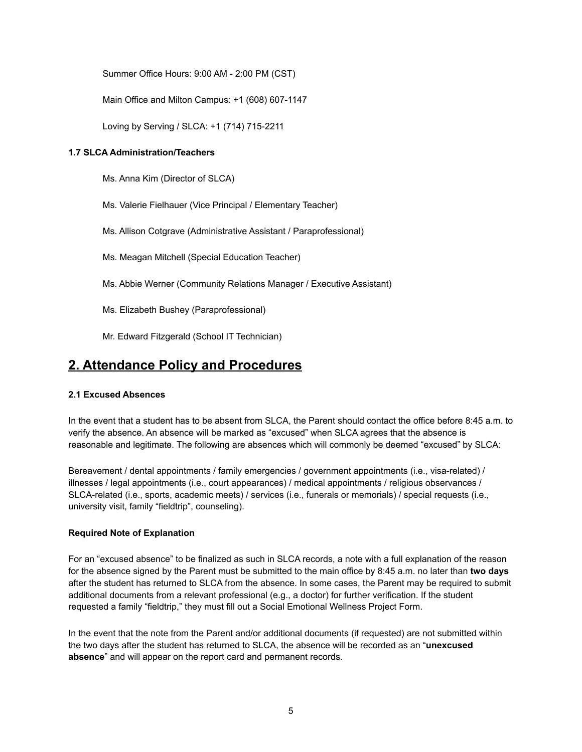Summer Office Hours: 9:00 AM - 2:00 PM (CST)

Main Office and Milton Campus: +1 (608) 607-1147

Loving by Serving / SLCA: +1 (714) 715-2211

#### <span id="page-4-0"></span>**1.7 SLCA Administration/Teachers**

- Ms. Anna Kim (Director of SLCA)
- Ms. Valerie Fielhauer (Vice Principal / Elementary Teacher)
- Ms. Allison Cotgrave (Administrative Assistant / Paraprofessional)
- Ms. Meagan Mitchell (Special Education Teacher)
- Ms. Abbie Werner (Community Relations Manager / Executive Assistant)
- Ms. Elizabeth Bushey (Paraprofessional)
- Mr. Edward Fitzgerald (School IT Technician)

### <span id="page-4-1"></span>**2. Attendance Policy and Procedures**

#### <span id="page-4-2"></span>**2.1 Excused Absences**

In the event that a student has to be absent from SLCA, the Parent should contact the office before 8:45 a.m. to verify the absence. An absence will be marked as "excused" when SLCA agrees that the absence is reasonable and legitimate. The following are absences which will commonly be deemed "excused" by SLCA:

Bereavement / dental appointments / family emergencies / government appointments (i.e., visa-related) / illnesses / legal appointments (i.e., court appearances) / medical appointments / religious observances / SLCA-related (i.e., sports, academic meets) / services (i.e., funerals or memorials) / special requests (i.e., university visit, family "fieldtrip", counseling).

#### **Required Note of Explanation**

For an "excused absence" to be finalized as such in SLCA records, a note with a full explanation of the reason for the absence signed by the Parent must be submitted to the main office by 8:45 a.m. no later than **two days** after the student has returned to SLCA from the absence. In some cases, the Parent may be required to submit additional documents from a relevant professional (e.g., a doctor) for further verification. If the student requested a family "fieldtrip," they must fill out a Social Emotional Wellness Project Form.

In the event that the note from the Parent and/or additional documents (if requested) are not submitted within the two days after the student has returned to SLCA, the absence will be recorded as an "**unexcused absence**" and will appear on the report card and permanent records.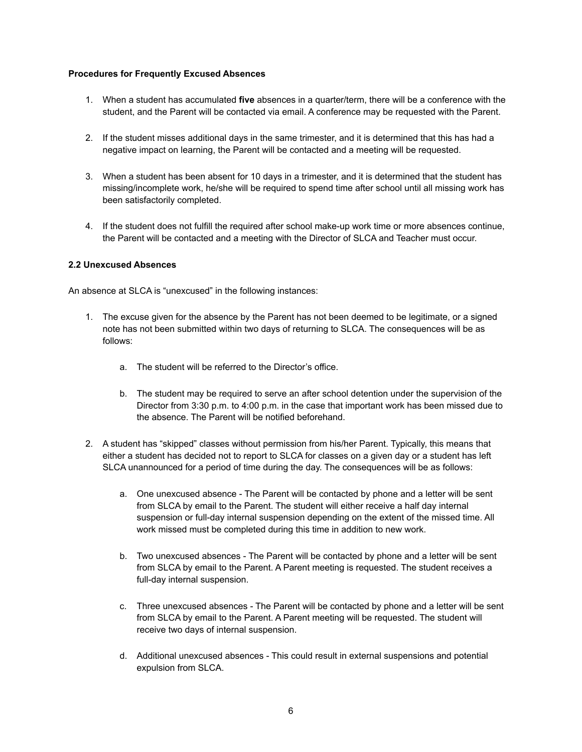#### **Procedures for Frequently Excused Absences**

- 1. When a student has accumulated **five** absences in a quarter/term, there will be a conference with the student, and the Parent will be contacted via email. A conference may be requested with the Parent.
- 2. If the student misses additional days in the same trimester, and it is determined that this has had a negative impact on learning, the Parent will be contacted and a meeting will be requested.
- 3. When a student has been absent for 10 days in a trimester, and it is determined that the student has missing/incomplete work, he/she will be required to spend time after school until all missing work has been satisfactorily completed.
- 4. If the student does not fulfill the required after school make-up work time or more absences continue, the Parent will be contacted and a meeting with the Director of SLCA and Teacher must occur.

#### <span id="page-5-0"></span>**2.2 Unexcused Absences**

An absence at SLCA is "unexcused" in the following instances:

- 1. The excuse given for the absence by the Parent has not been deemed to be legitimate, or a signed note has not been submitted within two days of returning to SLCA. The consequences will be as follows:
	- a. The student will be referred to the Director's office.
	- b. The student may be required to serve an after school detention under the supervision of the Director from 3:30 p.m. to 4:00 p.m. in the case that important work has been missed due to the absence. The Parent will be notified beforehand.
- 2. A student has "skipped" classes without permission from his/her Parent. Typically, this means that either a student has decided not to report to SLCA for classes on a given day or a student has left SLCA unannounced for a period of time during the day. The consequences will be as follows:
	- a. One unexcused absence The Parent will be contacted by phone and a letter will be sent from SLCA by email to the Parent. The student will either receive a half day internal suspension or full-day internal suspension depending on the extent of the missed time. All work missed must be completed during this time in addition to new work.
	- b. Two unexcused absences The Parent will be contacted by phone and a letter will be sent from SLCA by email to the Parent. A Parent meeting is requested. The student receives a full-day internal suspension.
	- c. Three unexcused absences The Parent will be contacted by phone and a letter will be sent from SLCA by email to the Parent. A Parent meeting will be requested. The student will receive two days of internal suspension.
	- d. Additional unexcused absences This could result in external suspensions and potential expulsion from SLCA.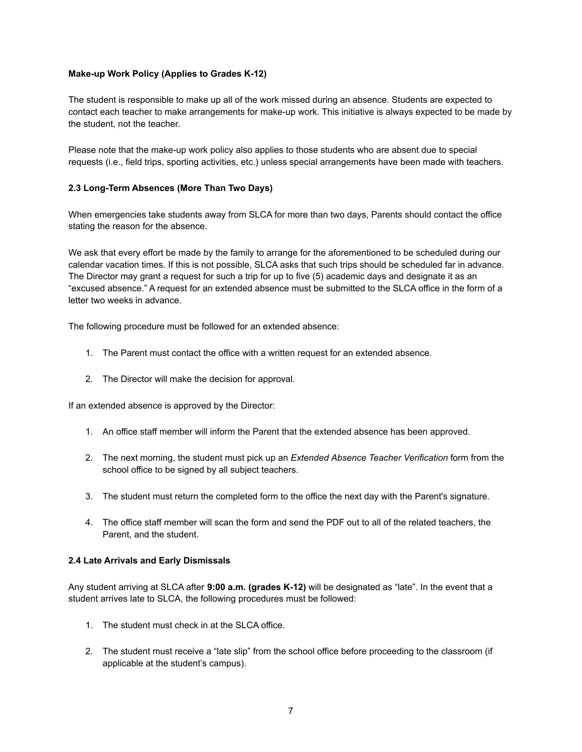#### **Make-up Work Policy (Applies to Grades K-12)**

The student is responsible to make up all of the work missed during an absence. Students are expected to contact each teacher to make arrangements for make-up work. This initiative is always expected to be made by the student, not the teacher.

Please note that the make-up work policy also applies to those students who are absent due to special requests (i.e., field trips, sporting activities, etc.) unless special arrangements have been made with teachers.

#### <span id="page-6-0"></span>**2.3 Long-Term Absences (More Than Two Days)**

When emergencies take students away from SLCA for more than two days, Parents should contact the office stating the reason for the absence.

We ask that every effort be made by the family to arrange for the aforementioned to be scheduled during our calendar vacation times. If this is not possible, SLCA asks that such trips should be scheduled far in advance. The Director may grant a request for such a trip for up to five (5) academic days and designate it as an "excused absence." A request for an extended absence must be submitted to the SLCA office in the form of a letter two weeks in advance.

The following procedure must be followed for an extended absence:

- 1. The Parent must contact the office with a written request for an extended absence.
- 2. The Director will make the decision for approval.

If an extended absence is approved by the Director:

- 1. An office staff member will inform the Parent that the extended absence has been approved.
- 2. The next morning, the student must pick up an *Extended Absence Teacher Verification* form from the school office to be signed by all subject teachers.
- 3. The student must return the completed form to the office the next day with the Parent's signature.
- 4. The office staff member will scan the form and send the PDF out to all of the related teachers, the Parent, and the student.

#### <span id="page-6-1"></span>**2.4 Late Arrivals and Early Dismissals**

Any student arriving at SLCA after **9:00 a.m. (grades K-12)** will be designated as "late". In the event that a student arrives late to SLCA, the following procedures must be followed:

- 1. The student must check in at the SLCA office.
- 2. The student must receive a "late slip" from the school office before proceeding to the classroom (if applicable at the student's campus).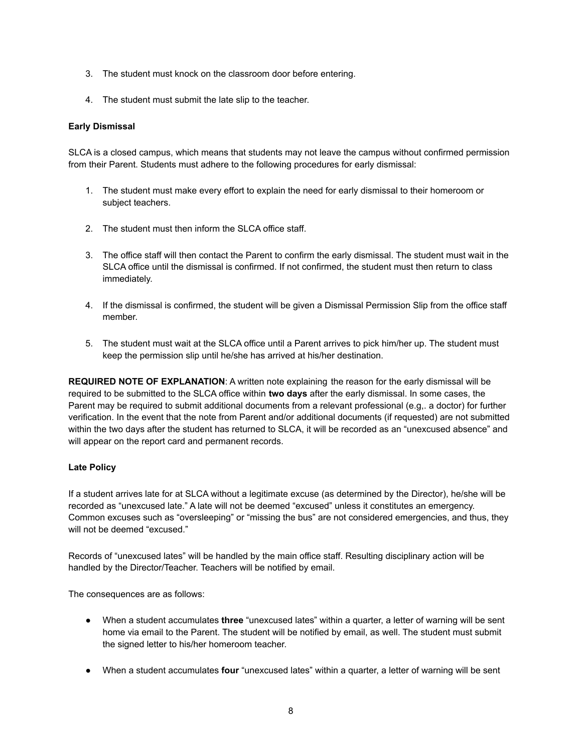- 3. The student must knock on the classroom door before entering.
- 4. The student must submit the late slip to the teacher.

#### **Early Dismissal**

SLCA is a closed campus, which means that students may not leave the campus without confirmed permission from their Parent. Students must adhere to the following procedures for early dismissal:

- 1. The student must make every effort to explain the need for early dismissal to their homeroom or subject teachers.
- 2. The student must then inform the SLCA office staff.
- 3. The office staff will then contact the Parent to confirm the early dismissal. The student must wait in the SLCA office until the dismissal is confirmed. If not confirmed, the student must then return to class immediately.
- 4. If the dismissal is confirmed, the student will be given a Dismissal Permission Slip from the office staff member.
- 5. The student must wait at the SLCA office until a Parent arrives to pick him/her up. The student must keep the permission slip until he/she has arrived at his/her destination.

**REQUIRED NOTE OF EXPLANATION**: A written note explaining the reason for the early dismissal will be required to be submitted to the SLCA office within **two days** after the early dismissal. In some cases, the Parent may be required to submit additional documents from a relevant professional (e.g,. a doctor) for further verification. In the event that the note from Parent and/or additional documents (if requested) are not submitted within the two days after the student has returned to SLCA, it will be recorded as an "unexcused absence" and will appear on the report card and permanent records.

#### **Late Policy**

If a student arrives late for at SLCA without a legitimate excuse (as determined by the Director), he/she will be recorded as "unexcused late." A late will not be deemed "excused" unless it constitutes an emergency. Common excuses such as "oversleeping" or "missing the bus" are not considered emergencies, and thus, they will not be deemed "excused."

Records of "unexcused lates" will be handled by the main office staff. Resulting disciplinary action will be handled by the Director/Teacher. Teachers will be notified by email.

The consequences are as follows:

- When a student accumulates **three** "unexcused lates" within a quarter, a letter of warning will be sent home via email to the Parent. The student will be notified by email, as well. The student must submit the signed letter to his/her homeroom teacher.
- When a student accumulates **four** "unexcused lates" within a quarter, a letter of warning will be sent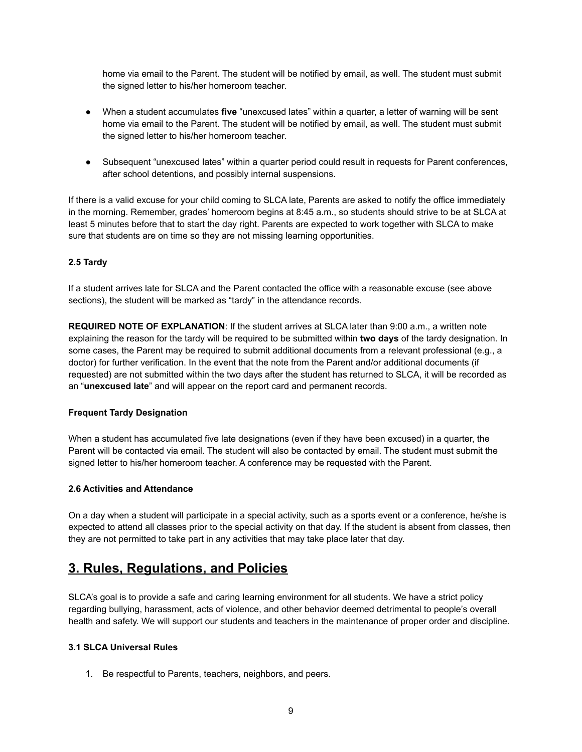home via email to the Parent. The student will be notified by email, as well. The student must submit the signed letter to his/her homeroom teacher.

- When a student accumulates **five** "unexcused lates" within a quarter, a letter of warning will be sent home via email to the Parent. The student will be notified by email, as well. The student must submit the signed letter to his/her homeroom teacher.
- Subsequent "unexcused lates" within a quarter period could result in requests for Parent conferences, after school detentions, and possibly internal suspensions.

If there is a valid excuse for your child coming to SLCA late, Parents are asked to notify the office immediately in the morning. Remember, grades' homeroom begins at 8:45 a.m., so students should strive to be at SLCA at least 5 minutes before that to start the day right. Parents are expected to work together with SLCA to make sure that students are on time so they are not missing learning opportunities.

#### <span id="page-8-0"></span>**2.5 Tardy**

If a student arrives late for SLCA and the Parent contacted the office with a reasonable excuse (see above sections), the student will be marked as "tardy" in the attendance records.

**REQUIRED NOTE OF EXPLANATION**: If the student arrives at SLCA later than 9:00 a.m., a written note explaining the reason for the tardy will be required to be submitted within **two days** of the tardy designation. In some cases, the Parent may be required to submit additional documents from a relevant professional (e.g., a doctor) for further verification. In the event that the note from the Parent and/or additional documents (if requested) are not submitted within the two days after the student has returned to SLCA, it will be recorded as an "**unexcused late**" and will appear on the report card and permanent records.

#### **Frequent Tardy Designation**

When a student has accumulated five late designations (even if they have been excused) in a quarter, the Parent will be contacted via email. The student will also be contacted by email. The student must submit the signed letter to his/her homeroom teacher. A conference may be requested with the Parent.

#### <span id="page-8-1"></span>**2.6 Activities and Attendance**

On a day when a student will participate in a special activity, such as a sports event or a conference, he/she is expected to attend all classes prior to the special activity on that day. If the student is absent from classes, then they are not permitted to take part in any activities that may take place later that day.

### <span id="page-8-2"></span>**3. Rules, Regulations, and Policies**

SLCA's goal is to provide a safe and caring learning environment for all students. We have a strict policy regarding bullying, harassment, acts of violence, and other behavior deemed detrimental to people's overall health and safety. We will support our students and teachers in the maintenance of proper order and discipline.

#### <span id="page-8-3"></span>**3.1 SLCA Universal Rules**

1. Be respectful to Parents, teachers, neighbors, and peers.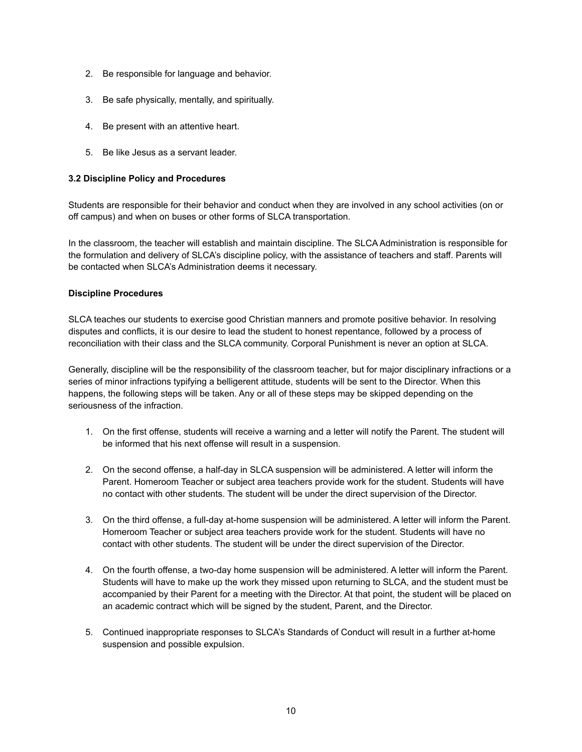- 2. Be responsible for language and behavior.
- 3. Be safe physically, mentally, and spiritually.
- 4. Be present with an attentive heart.
- 5. Be like Jesus as a servant leader.

#### <span id="page-9-0"></span>**3.2 Discipline Policy and Procedures**

Students are responsible for their behavior and conduct when they are involved in any school activities (on or off campus) and when on buses or other forms of SLCA transportation.

In the classroom, the teacher will establish and maintain discipline. The SLCA Administration is responsible for the formulation and delivery of SLCA's discipline policy, with the assistance of teachers and staff. Parents will be contacted when SLCA's Administration deems it necessary.

#### **Discipline Procedures**

SLCA teaches our students to exercise good Christian manners and promote positive behavior. In resolving disputes and conflicts, it is our desire to lead the student to honest repentance, followed by a process of reconciliation with their class and the SLCA community. Corporal Punishment is never an option at SLCA.

Generally, discipline will be the responsibility of the classroom teacher, but for major disciplinary infractions or a series of minor infractions typifying a belligerent attitude, students will be sent to the Director. When this happens, the following steps will be taken. Any or all of these steps may be skipped depending on the seriousness of the infraction.

- 1. On the first offense, students will receive a warning and a letter will notify the Parent. The student will be informed that his next offense will result in a suspension.
- 2. On the second offense, a half-day in SLCA suspension will be administered. A letter will inform the Parent. Homeroom Teacher or subject area teachers provide work for the student. Students will have no contact with other students. The student will be under the direct supervision of the Director.
- 3. On the third offense, a full-day at-home suspension will be administered. A letter will inform the Parent. Homeroom Teacher or subject area teachers provide work for the student. Students will have no contact with other students. The student will be under the direct supervision of the Director.
- 4. On the fourth offense, a two-day home suspension will be administered. A letter will inform the Parent. Students will have to make up the work they missed upon returning to SLCA, and the student must be accompanied by their Parent for a meeting with the Director. At that point, the student will be placed on an academic contract which will be signed by the student, Parent, and the Director.
- 5. Continued inappropriate responses to SLCA's Standards of Conduct will result in a further at-home suspension and possible expulsion.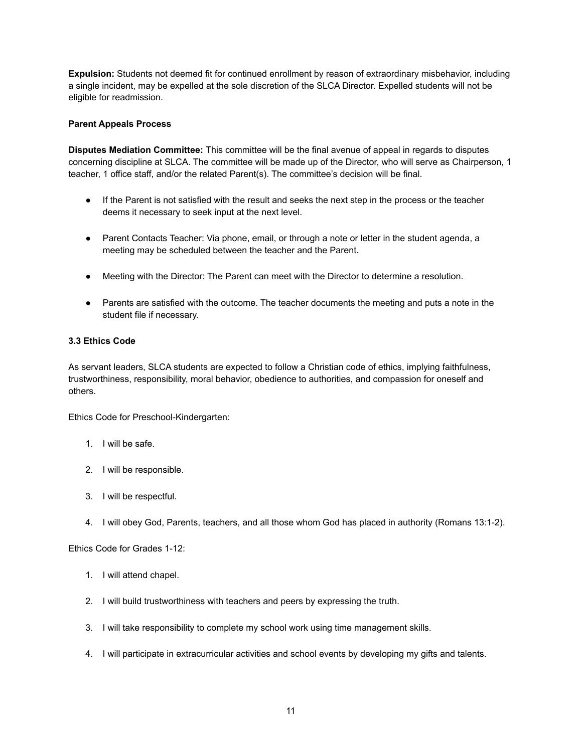**Expulsion:** Students not deemed fit for continued enrollment by reason of extraordinary misbehavior, including a single incident, may be expelled at the sole discretion of the SLCA Director. Expelled students will not be eligible for readmission.

#### **Parent Appeals Process**

**Disputes Mediation Committee:** This committee will be the final avenue of appeal in regards to disputes concerning discipline at SLCA. The committee will be made up of the Director, who will serve as Chairperson, 1 teacher, 1 office staff, and/or the related Parent(s). The committee's decision will be final.

- If the Parent is not satisfied with the result and seeks the next step in the process or the teacher deems it necessary to seek input at the next level.
- Parent Contacts Teacher: Via phone, email, or through a note or letter in the student agenda, a meeting may be scheduled between the teacher and the Parent.
- Meeting with the Director: The Parent can meet with the Director to determine a resolution.
- Parents are satisfied with the outcome. The teacher documents the meeting and puts a note in the student file if necessary.

#### <span id="page-10-0"></span>**3.3 Ethics Code**

As servant leaders, SLCA students are expected to follow a Christian code of ethics, implying faithfulness, trustworthiness, responsibility, moral behavior, obedience to authorities, and compassion for oneself and others.

Ethics Code for Preschool-Kindergarten:

- 1. I will be safe.
- 2. I will be responsible.
- 3. I will be respectful.
- 4. I will obey God, Parents, teachers, and all those whom God has placed in authority (Romans 13:1-2).

Ethics Code for Grades 1-12:

- 1. I will attend chapel.
- 2. I will build trustworthiness with teachers and peers by expressing the truth.
- 3. I will take responsibility to complete my school work using time management skills.
- 4. I will participate in extracurricular activities and school events by developing my gifts and talents.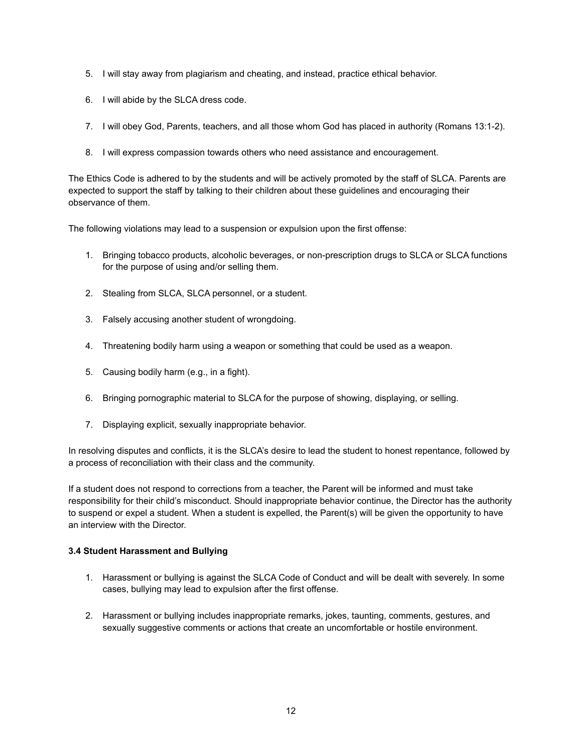- 5. I will stay away from plagiarism and cheating, and instead, practice ethical behavior.
- 6. I will abide by the SLCA dress code.
- 7. I will obey God, Parents, teachers, and all those whom God has placed in authority (Romans 13:1-2).
- 8. I will express compassion towards others who need assistance and encouragement.

The Ethics Code is adhered to by the students and will be actively promoted by the staff of SLCA. Parents are expected to support the staff by talking to their children about these guidelines and encouraging their observance of them.

The following violations may lead to a suspension or expulsion upon the first offense:

- 1. Bringing tobacco products, alcoholic beverages, or non-prescription drugs to SLCA or SLCA functions for the purpose of using and/or selling them.
- 2. Stealing from SLCA, SLCA personnel, or a student.
- 3. Falsely accusing another student of wrongdoing.
- 4. Threatening bodily harm using a weapon or something that could be used as a weapon.
- 5. Causing bodily harm (e.g., in a fight).
- 6. Bringing pornographic material to SLCA for the purpose of showing, displaying, or selling.
- 7. Displaying explicit, sexually inappropriate behavior.

In resolving disputes and conflicts, it is the SLCA's desire to lead the student to honest repentance, followed by a process of reconciliation with their class and the community.

If a student does not respond to corrections from a teacher, the Parent will be informed and must take responsibility for their child's misconduct. Should inappropriate behavior continue, the Director has the authority to suspend or expel a student. When a student is expelled, the Parent(s) will be given the opportunity to have an interview with the Director.

#### <span id="page-11-0"></span>**3.4 Student Harassment and Bullying**

- 1. Harassment or bullying is against the SLCA Code of Conduct and will be dealt with severely. In some cases, bullying may lead to expulsion after the first offense.
- 2. Harassment or bullying includes inappropriate remarks, jokes, taunting, comments, gestures, and sexually suggestive comments or actions that create an uncomfortable or hostile environment.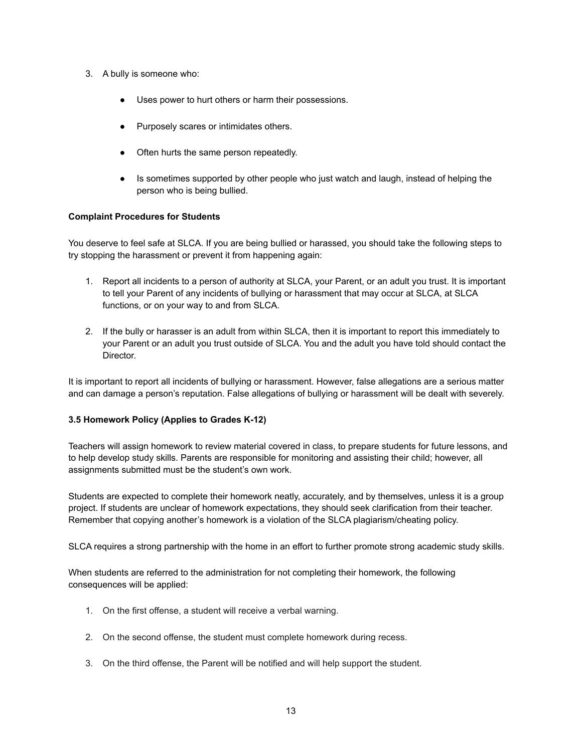- 3. A bully is someone who:
	- Uses power to hurt others or harm their possessions.
	- Purposely scares or intimidates others.
	- Often hurts the same person repeatedly.
	- Is sometimes supported by other people who just watch and laugh, instead of helping the person who is being bullied.

#### **Complaint Procedures for Students**

You deserve to feel safe at SLCA. If you are being bullied or harassed, you should take the following steps to try stopping the harassment or prevent it from happening again:

- 1. Report all incidents to a person of authority at SLCA, your Parent, or an adult you trust. It is important to tell your Parent of any incidents of bullying or harassment that may occur at SLCA, at SLCA functions, or on your way to and from SLCA.
- 2. If the bully or harasser is an adult from within SLCA, then it is important to report this immediately to your Parent or an adult you trust outside of SLCA. You and the adult you have told should contact the Director.

It is important to report all incidents of bullying or harassment. However, false allegations are a serious matter and can damage a person's reputation. False allegations of bullying or harassment will be dealt with severely.

#### <span id="page-12-0"></span>**3.5 Homework Policy (Applies to Grades K-12)**

Teachers will assign homework to review material covered in class, to prepare students for future lessons, and to help develop study skills. Parents are responsible for monitoring and assisting their child; however, all assignments submitted must be the student's own work.

Students are expected to complete their homework neatly, accurately, and by themselves, unless it is a group project. If students are unclear of homework expectations, they should seek clarification from their teacher. Remember that copying another's homework is a violation of the SLCA plagiarism/cheating policy.

SLCA requires a strong partnership with the home in an effort to further promote strong academic study skills.

When students are referred to the administration for not completing their homework, the following consequences will be applied:

- 1. On the first offense, a student will receive a verbal warning.
- 2. On the second offense, the student must complete homework during recess.
- 3. On the third offense, the Parent will be notified and will help support the student.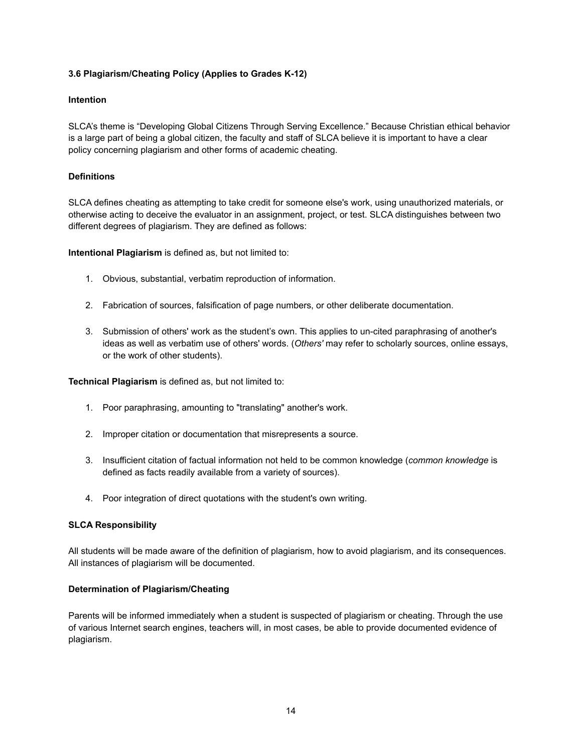#### <span id="page-13-0"></span>**3.6 Plagiarism/Cheating Policy (Applies to Grades K-12)**

#### **Intention**

SLCA's theme is "Developing Global Citizens Through Serving Excellence." Because Christian ethical behavior is a large part of being a global citizen, the faculty and staff of SLCA believe it is important to have a clear policy concerning plagiarism and other forms of academic cheating.

#### **Definitions**

SLCA defines cheating as attempting to take credit for someone else's work, using unauthorized materials, or otherwise acting to deceive the evaluator in an assignment, project, or test. SLCA distinguishes between two different degrees of plagiarism. They are defined as follows:

**Intentional Plagiarism** is defined as, but not limited to:

- 1. Obvious, substantial, verbatim reproduction of information.
- 2. Fabrication of sources, falsification of page numbers, or other deliberate documentation.
- 3. Submission of others' work as the student's own. This applies to un-cited paraphrasing of another's ideas as well as verbatim use of others' words. (*Others'* may refer to scholarly sources, online essays, or the work of other students).

**Technical Plagiarism** is defined as, but not limited to:

- 1. Poor paraphrasing, amounting to "translating" another's work.
- 2. Improper citation or documentation that misrepresents a source.
- 3. Insufficient citation of factual information not held to be common knowledge (*common knowledge* is defined as facts readily available from a variety of sources).
- 4. Poor integration of direct quotations with the student's own writing.

#### **SLCA Responsibility**

All students will be made aware of the definition of plagiarism, how to avoid plagiarism, and its consequences. All instances of plagiarism will be documented.

#### **Determination of Plagiarism/Cheating**

Parents will be informed immediately when a student is suspected of plagiarism or cheating. Through the use of various Internet search engines, teachers will, in most cases, be able to provide documented evidence of plagiarism.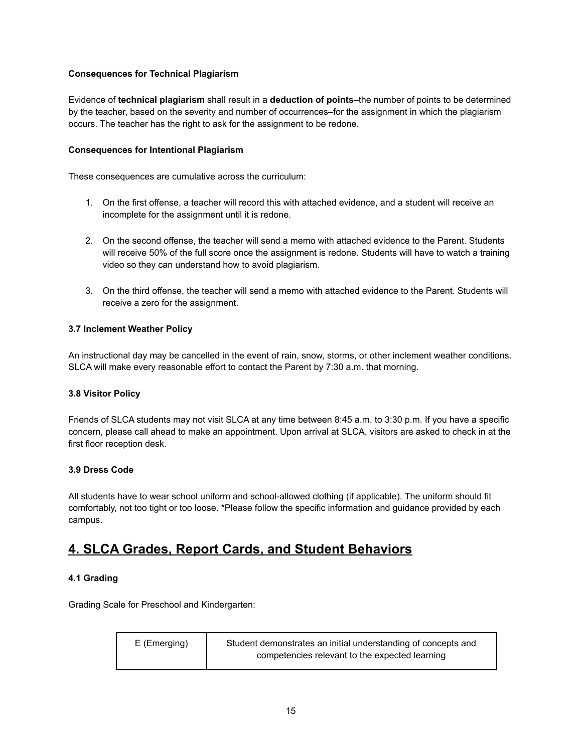#### **Consequences for Technical Plagiarism**

Evidence of **technical plagiarism** shall result in a **deduction of points**–the number of points to be determined by the teacher, based on the severity and number of occurrences–for the assignment in which the plagiarism occurs. The teacher has the right to ask for the assignment to be redone.

#### **Consequences for Intentional Plagiarism**

These consequences are cumulative across the curriculum:

- 1. On the first offense, a teacher will record this with attached evidence, and a student will receive an incomplete for the assignment until it is redone.
- 2. On the second offense, the teacher will send a memo with attached evidence to the Parent. Students will receive 50% of the full score once the assignment is redone. Students will have to watch a training video so they can understand how to avoid plagiarism.
- 3. On the third offense, the teacher will send a memo with attached evidence to the Parent. Students will receive a zero for the assignment.

#### <span id="page-14-0"></span>**3.7 Inclement Weather Policy**

An instructional day may be cancelled in the event of rain, snow, storms, or other inclement weather conditions. SLCA will make every reasonable effort to contact the Parent by 7:30 a.m. that morning.

#### <span id="page-14-1"></span>**3.8 Visitor Policy**

Friends of SLCA students may not visit SLCA at any time between 8:45 a.m. to 3:30 p.m. If you have a specific concern, please call ahead to make an appointment. Upon arrival at SLCA, visitors are asked to check in at the first floor reception desk.

#### <span id="page-14-2"></span>**3.9 Dress Code**

All students have to wear school uniform and school-allowed clothing (if applicable). The uniform should fit comfortably, not too tight or too loose. \*Please follow the specific information and guidance provided by each campus.

### <span id="page-14-3"></span>**4. SLCA Grades, Report Cards, and Student Behaviors**

#### <span id="page-14-4"></span>**4.1 Grading**

Grading Scale for Preschool and Kindergarten:

| E (Emerging) | Student demonstrates an initial understanding of concepts and |
|--------------|---------------------------------------------------------------|
|              | competencies relevant to the expected learning                |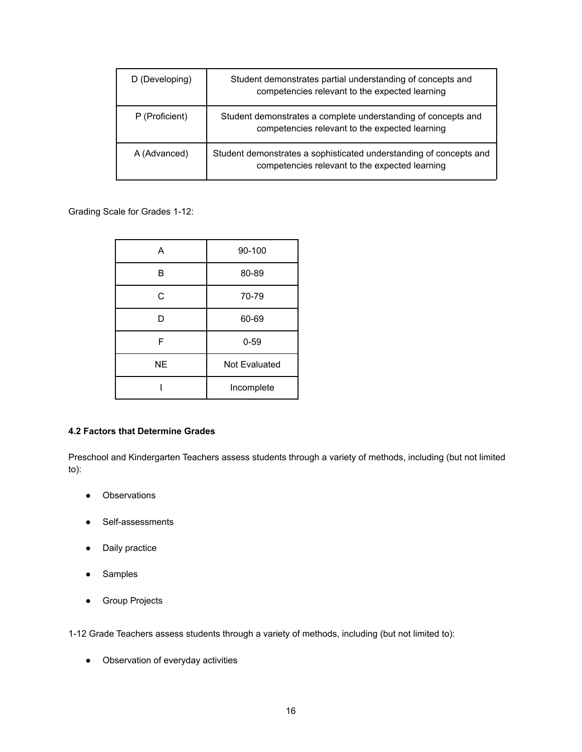| D (Developing) | Student demonstrates partial understanding of concepts and<br>competencies relevant to the expected learning         |
|----------------|----------------------------------------------------------------------------------------------------------------------|
| P (Proficient) | Student demonstrates a complete understanding of concepts and<br>competencies relevant to the expected learning      |
| A (Advanced)   | Student demonstrates a sophisticated understanding of concepts and<br>competencies relevant to the expected learning |

#### Grading Scale for Grades 1-12:

| А         | 90-100        |
|-----------|---------------|
| в         | 80-89         |
| C         | 70-79         |
| D         | 60-69         |
| F         | $0 - 59$      |
| <b>NE</b> | Not Evaluated |
|           | Incomplete    |

#### <span id="page-15-0"></span>**4.2 Factors that Determine Grades**

Preschool and Kindergarten Teachers assess students through a variety of methods, including (but not limited to):

- Observations
- Self-assessments
- Daily practice
- Samples
- Group Projects

1-12 Grade Teachers assess students through a variety of methods, including (but not limited to):

● Observation of everyday activities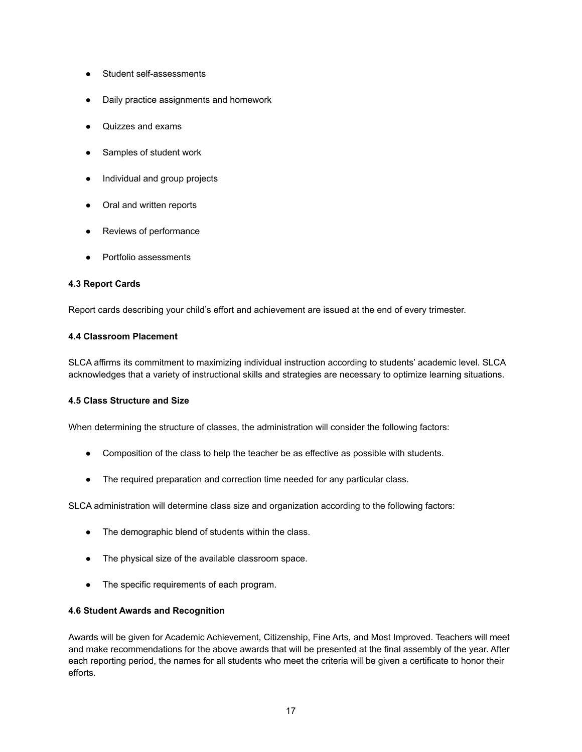- Student self-assessments
- Daily practice assignments and homework
- Quizzes and exams
- Samples of student work
- Individual and group projects
- Oral and written reports
- Reviews of performance
- Portfolio assessments

#### <span id="page-16-0"></span>**4.3 Report Cards**

<span id="page-16-1"></span>Report cards describing your child's effort and achievement are issued at the end of every trimester.

#### **4.4 Classroom Placement**

SLCA affirms its commitment to maximizing individual instruction according to students' academic level. SLCA acknowledges that a variety of instructional skills and strategies are necessary to optimize learning situations.

#### <span id="page-16-2"></span>**4.5 Class Structure and Size**

When determining the structure of classes, the administration will consider the following factors:

- Composition of the class to help the teacher be as effective as possible with students.
- The required preparation and correction time needed for any particular class.

SLCA administration will determine class size and organization according to the following factors:

- The demographic blend of students within the class.
- The physical size of the available classroom space.
- The specific requirements of each program.

#### <span id="page-16-3"></span>**4.6 Student Awards and Recognition**

Awards will be given for Academic Achievement, Citizenship, Fine Arts, and Most Improved. Teachers will meet and make recommendations for the above awards that will be presented at the final assembly of the year. After each reporting period, the names for all students who meet the criteria will be given a certificate to honor their efforts.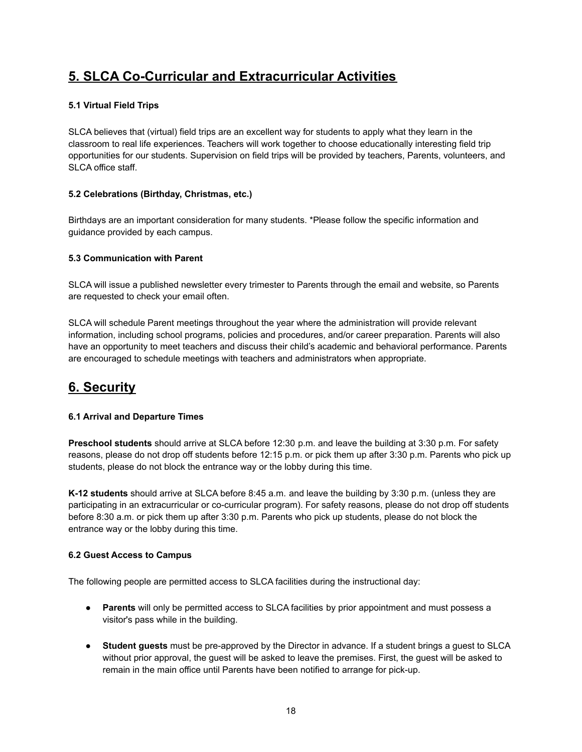# <span id="page-17-0"></span>**5. SLCA Co-Curricular and Extracurricular Activities**

#### <span id="page-17-1"></span>**5.1 Virtual Field Trips**

SLCA believes that (virtual) field trips are an excellent way for students to apply what they learn in the classroom to real life experiences. Teachers will work together to choose educationally interesting field trip opportunities for our students. Supervision on field trips will be provided by teachers, Parents, volunteers, and SLCA office staff.

#### <span id="page-17-2"></span>**5.2 Celebrations (Birthday, Christmas, etc.)**

Birthdays are an important consideration for many students. \*Please follow the specific information and guidance provided by each campus.

#### <span id="page-17-3"></span>**5.3 Communication with Parent**

SLCA will issue a published newsletter every trimester to Parents through the email and website, so Parents are requested to check your email often.

SLCA will schedule Parent meetings throughout the year where the administration will provide relevant information, including school programs, policies and procedures, and/or career preparation. Parents will also have an opportunity to meet teachers and discuss their child's academic and behavioral performance. Parents are encouraged to schedule meetings with teachers and administrators when appropriate.

# <span id="page-17-4"></span>**6. Security**

#### <span id="page-17-5"></span>**6.1 Arrival and Departure Times**

**Preschool students** should arrive at SLCA before 12:30 p.m. and leave the building at 3:30 p.m. For safety reasons, please do not drop off students before 12:15 p.m. or pick them up after 3:30 p.m. Parents who pick up students, please do not block the entrance way or the lobby during this time.

**K-12 students** should arrive at SLCA before 8:45 a.m. and leave the building by 3:30 p.m. (unless they are participating in an extracurricular or co-curricular program). For safety reasons, please do not drop off students before 8:30 a.m. or pick them up after 3:30 p.m. Parents who pick up students, please do not block the entrance way or the lobby during this time.

#### <span id="page-17-6"></span>**6.2 Guest Access to Campus**

The following people are permitted access to SLCA facilities during the instructional day:

- **Parents** will only be permitted access to SLCA facilities by prior appointment and must possess a visitor's pass while in the building.
- **Student guests** must be pre-approved by the Director in advance. If a student brings a guest to SLCA without prior approval, the guest will be asked to leave the premises. First, the guest will be asked to remain in the main office until Parents have been notified to arrange for pick-up.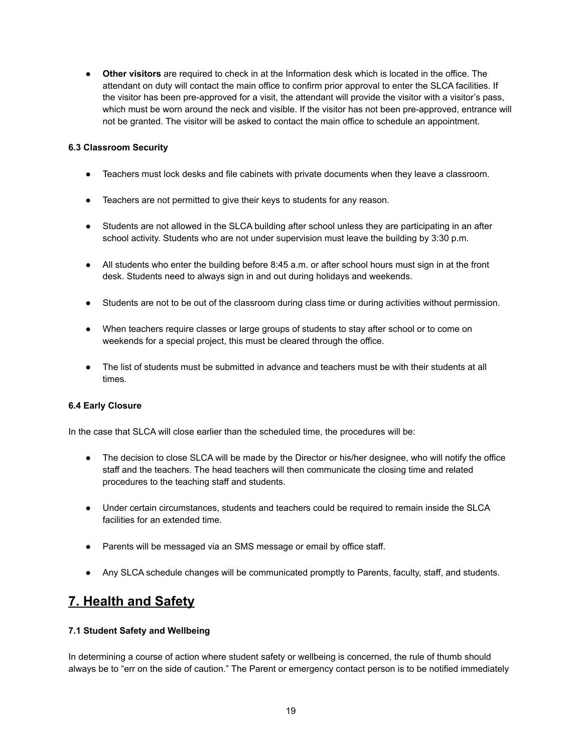● **Other visitors** are required to check in at the Information desk which is located in the office. The attendant on duty will contact the main office to confirm prior approval to enter the SLCA facilities. If the visitor has been pre-approved for a visit, the attendant will provide the visitor with a visitor's pass, which must be worn around the neck and visible. If the visitor has not been pre-approved, entrance will not be granted. The visitor will be asked to contact the main office to schedule an appointment.

#### <span id="page-18-0"></span>**6.3 Classroom Security**

- Teachers must lock desks and file cabinets with private documents when they leave a classroom.
- Teachers are not permitted to give their keys to students for any reason.
- Students are not allowed in the SLCA building after school unless they are participating in an after school activity. Students who are not under supervision must leave the building by 3:30 p.m.
- All students who enter the building before 8:45 a.m. or after school hours must sign in at the front desk. Students need to always sign in and out during holidays and weekends.
- Students are not to be out of the classroom during class time or during activities without permission.
- When teachers require classes or large groups of students to stay after school or to come on weekends for a special project, this must be cleared through the office.
- The list of students must be submitted in advance and teachers must be with their students at all times.

#### <span id="page-18-1"></span>**6.4 Early Closure**

In the case that SLCA will close earlier than the scheduled time, the procedures will be:

- The decision to close SLCA will be made by the Director or his/her designee, who will notify the office staff and the teachers. The head teachers will then communicate the closing time and related procedures to the teaching staff and students.
- Under certain circumstances, students and teachers could be required to remain inside the SLCA facilities for an extended time.
- Parents will be messaged via an SMS message or email by office staff.
- Any SLCA schedule changes will be communicated promptly to Parents, faculty, staff, and students.

# <span id="page-18-2"></span>**7. Health and Safety**

#### <span id="page-18-3"></span>**7.1 Student Safety and Wellbeing**

In determining a course of action where student safety or wellbeing is concerned, the rule of thumb should always be to "err on the side of caution." The Parent or emergency contact person is to be notified immediately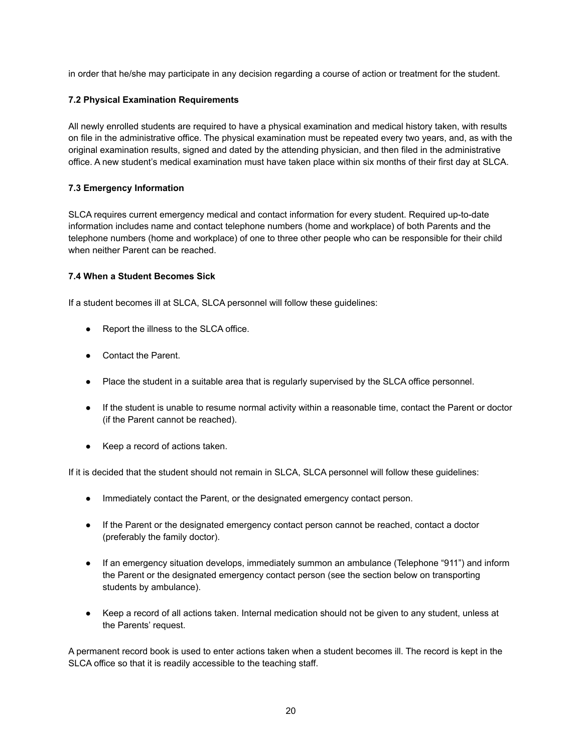<span id="page-19-0"></span>in order that he/she may participate in any decision regarding a course of action or treatment for the student.

#### **7.2 Physical Examination Requirements**

All newly enrolled students are required to have a physical examination and medical history taken, with results on file in the administrative office. The physical examination must be repeated every two years, and, as with the original examination results, signed and dated by the attending physician, and then filed in the administrative office. A new student's medical examination must have taken place within six months of their first day at SLCA.

#### <span id="page-19-1"></span>**7.3 Emergency Information**

SLCA requires current emergency medical and contact information for every student. Required up-to-date information includes name and contact telephone numbers (home and workplace) of both Parents and the telephone numbers (home and workplace) of one to three other people who can be responsible for their child when neither Parent can be reached.

#### <span id="page-19-2"></span>**7.4 When a Student Becomes Sick**

If a student becomes ill at SLCA, SLCA personnel will follow these guidelines:

- Report the illness to the SLCA office.
- Contact the Parent.
- Place the student in a suitable area that is regularly supervised by the SLCA office personnel.
- If the student is unable to resume normal activity within a reasonable time, contact the Parent or doctor (if the Parent cannot be reached).
- Keep a record of actions taken.

If it is decided that the student should not remain in SLCA, SLCA personnel will follow these guidelines:

- Immediately contact the Parent, or the designated emergency contact person.
- If the Parent or the designated emergency contact person cannot be reached, contact a doctor (preferably the family doctor).
- If an emergency situation develops, immediately summon an ambulance (Telephone "911") and inform the Parent or the designated emergency contact person (see the section below on transporting students by ambulance).
- Keep a record of all actions taken. Internal medication should not be given to any student, unless at the Parents' request.

A permanent record book is used to enter actions taken when a student becomes ill. The record is kept in the SLCA office so that it is readily accessible to the teaching staff.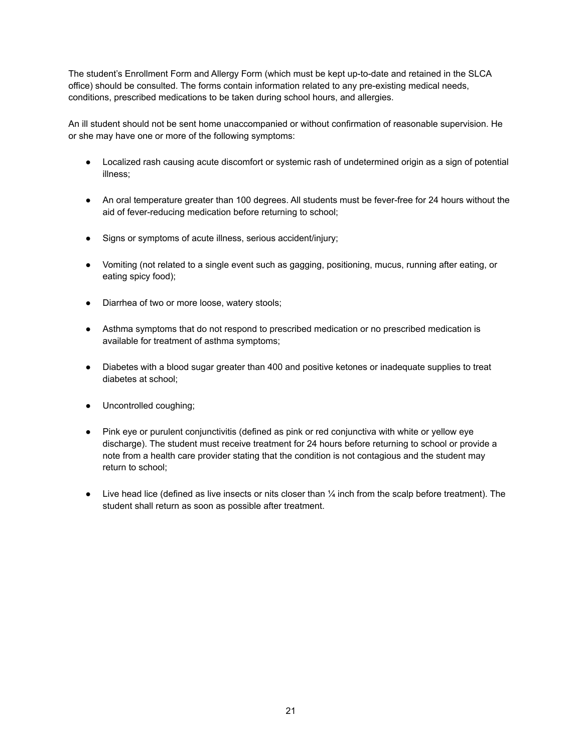The student's Enrollment Form and Allergy Form (which must be kept up-to-date and retained in the SLCA office) should be consulted. The forms contain information related to any pre-existing medical needs, conditions, prescribed medications to be taken during school hours, and allergies.

An ill student should not be sent home unaccompanied or without confirmation of reasonable supervision. He or she may have one or more of the following symptoms:

- Localized rash causing acute discomfort or systemic rash of undetermined origin as a sign of potential illness;
- An oral temperature greater than 100 degrees. All students must be fever-free for 24 hours without the aid of fever-reducing medication before returning to school;
- Signs or symptoms of acute illness, serious accident/injury;
- Vomiting (not related to a single event such as gagging, positioning, mucus, running after eating, or eating spicy food);
- Diarrhea of two or more loose, watery stools;
- Asthma symptoms that do not respond to prescribed medication or no prescribed medication is available for treatment of asthma symptoms;
- Diabetes with a blood sugar greater than 400 and positive ketones or inadequate supplies to treat diabetes at school;
- Uncontrolled coughing;
- Pink eye or purulent conjunctivitis (defined as pink or red conjunctiva with white or yellow eye discharge). The student must receive treatment for 24 hours before returning to school or provide a note from a health care provider stating that the condition is not contagious and the student may return to school;
- Live head lice (defined as live insects or nits closer than ¼ inch from the scalp before treatment). The student shall return as soon as possible after treatment.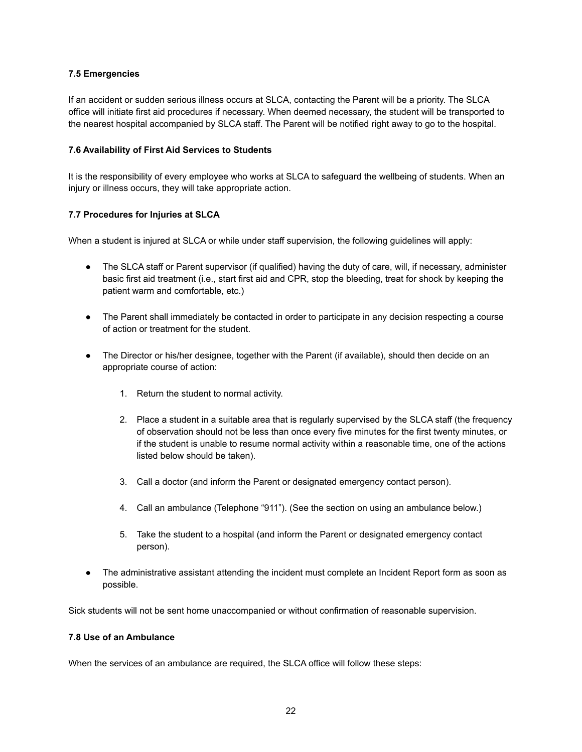#### <span id="page-21-0"></span>**7.5 Emergencies**

If an accident or sudden serious illness occurs at SLCA, contacting the Parent will be a priority. The SLCA office will initiate first aid procedures if necessary. When deemed necessary, the student will be transported to the nearest hospital accompanied by SLCA staff. The Parent will be notified right away to go to the hospital.

#### <span id="page-21-1"></span>**7.6 Availability of First Aid Services to Students**

It is the responsibility of every employee who works at SLCA to safeguard the wellbeing of students. When an injury or illness occurs, they will take appropriate action.

#### <span id="page-21-2"></span>**7.7 Procedures for Injuries at SLCA**

When a student is injured at SLCA or while under staff supervision, the following guidelines will apply:

- The SLCA staff or Parent supervisor (if qualified) having the duty of care, will, if necessary, administer basic first aid treatment (i.e., start first aid and CPR, stop the bleeding, treat for shock by keeping the patient warm and comfortable, etc.)
- The Parent shall immediately be contacted in order to participate in any decision respecting a course of action or treatment for the student.
- The Director or his/her designee, together with the Parent (if available), should then decide on an appropriate course of action:
	- 1. Return the student to normal activity.
	- 2. Place a student in a suitable area that is regularly supervised by the SLCA staff (the frequency of observation should not be less than once every five minutes for the first twenty minutes, or if the student is unable to resume normal activity within a reasonable time, one of the actions listed below should be taken).
	- 3. Call a doctor (and inform the Parent or designated emergency contact person).
	- 4. Call an ambulance (Telephone "911"). (See the section on using an ambulance below.)
	- 5. Take the student to a hospital (and inform the Parent or designated emergency contact person).
- The administrative assistant attending the incident must complete an Incident Report form as soon as possible.

<span id="page-21-3"></span>Sick students will not be sent home unaccompanied or without confirmation of reasonable supervision.

#### **7.8 Use of an Ambulance**

When the services of an ambulance are required, the SLCA office will follow these steps: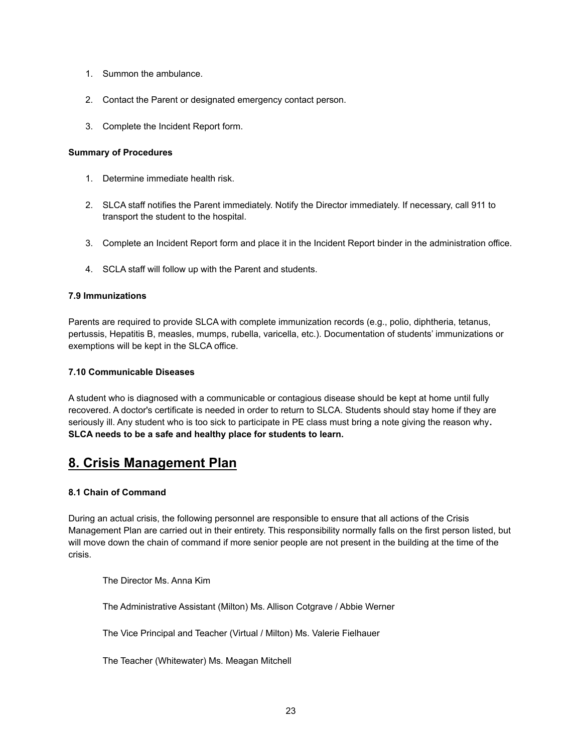- 1. Summon the ambulance.
- 2. Contact the Parent or designated emergency contact person.
- 3. Complete the Incident Report form.

#### **Summary of Procedures**

- 1. Determine immediate health risk.
- 2. SLCA staff notifies the Parent immediately. Notify the Director immediately. If necessary, call 911 to transport the student to the hospital.
- 3. Complete an Incident Report form and place it in the Incident Report binder in the administration office.
- 4. SCLA staff will follow up with the Parent and students.

#### <span id="page-22-0"></span>**7.9 Immunizations**

Parents are required to provide SLCA with complete immunization records (e.g., polio, diphtheria, tetanus, pertussis, Hepatitis B, measles, mumps, rubella, varicella, etc.). Documentation of students' immunizations or exemptions will be kept in the SLCA office.

#### <span id="page-22-1"></span>**7.10 Communicable Diseases**

A student who is diagnosed with a communicable or contagious disease should be kept at home until fully recovered. A doctor's certificate is needed in order to return to SLCA. Students should stay home if they are seriously ill. Any student who is too sick to participate in PE class must bring a note giving the reason why**. SLCA needs to be a safe and healthy place for students to learn.**

### <span id="page-22-2"></span>**8. Crisis Management Plan**

#### <span id="page-22-3"></span>**8.1 Chain of Command**

During an actual crisis, the following personnel are responsible to ensure that all actions of the Crisis Management Plan are carried out in their entirety. This responsibility normally falls on the first person listed, but will move down the chain of command if more senior people are not present in the building at the time of the crisis.

The Director Ms. Anna Kim

The Administrative Assistant (Milton) Ms. Allison Cotgrave / Abbie Werner

The Vice Principal and Teacher (Virtual / Milton) Ms. Valerie Fielhauer

The Teacher (Whitewater) Ms. Meagan Mitchell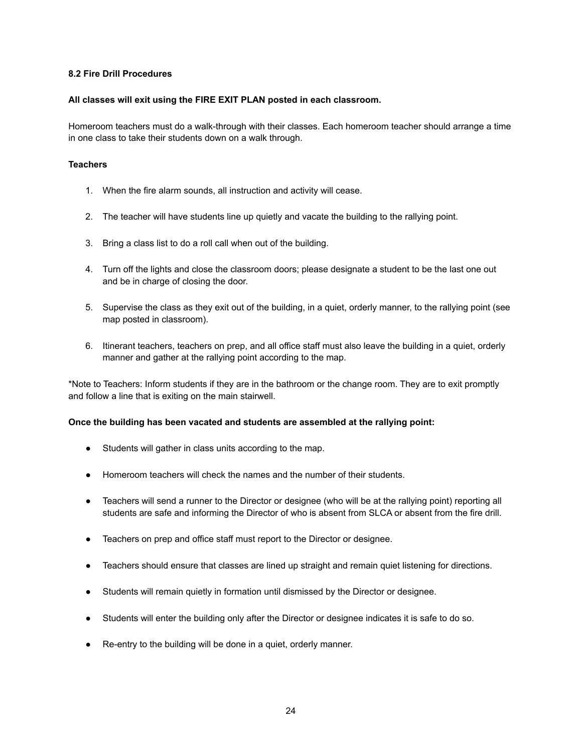#### <span id="page-23-0"></span>**8.2 Fire Drill Procedures**

#### **All classes will exit using the FIRE EXIT PLAN posted in each classroom.**

Homeroom teachers must do a walk-through with their classes. Each homeroom teacher should arrange a time in one class to take their students down on a walk through.

#### **Teachers**

- 1. When the fire alarm sounds, all instruction and activity will cease.
- 2. The teacher will have students line up quietly and vacate the building to the rallying point.
- 3. Bring a class list to do a roll call when out of the building.
- 4. Turn off the lights and close the classroom doors; please designate a student to be the last one out and be in charge of closing the door.
- 5. Supervise the class as they exit out of the building, in a quiet, orderly manner, to the rallying point (see map posted in classroom).
- 6. Itinerant teachers, teachers on prep, and all office staff must also leave the building in a quiet, orderly manner and gather at the rallying point according to the map.

\*Note to Teachers: Inform students if they are in the bathroom or the change room. They are to exit promptly and follow a line that is exiting on the main stairwell.

#### **Once the building has been vacated and students are assembled at the rallying point:**

- Students will gather in class units according to the map.
- Homeroom teachers will check the names and the number of their students.
- Teachers will send a runner to the Director or designee (who will be at the rallying point) reporting all students are safe and informing the Director of who is absent from SLCA or absent from the fire drill.
- Teachers on prep and office staff must report to the Director or designee.
- Teachers should ensure that classes are lined up straight and remain quiet listening for directions.
- Students will remain quietly in formation until dismissed by the Director or designee.
- Students will enter the building only after the Director or designee indicates it is safe to do so.
- Re-entry to the building will be done in a quiet, orderly manner.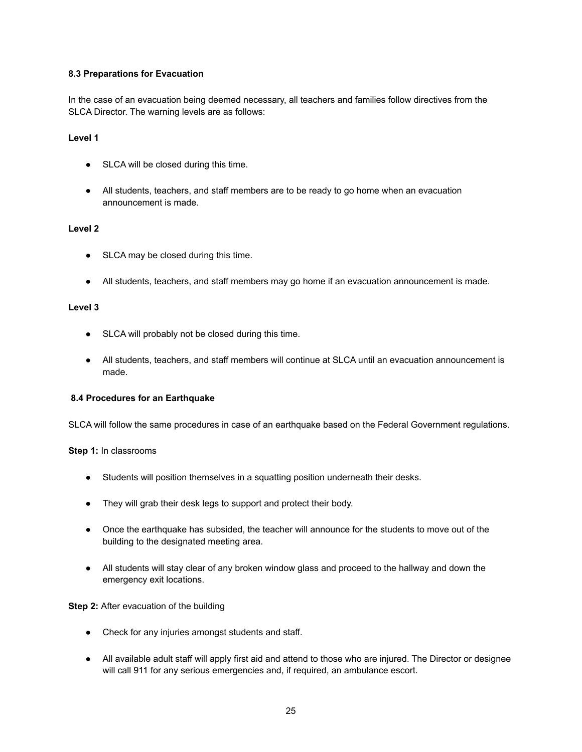#### <span id="page-24-0"></span>**8.3 Preparations for Evacuation**

In the case of an evacuation being deemed necessary, all teachers and families follow directives from the SLCA Director. The warning levels are as follows:

**Level 1**

- SLCA will be closed during this time.
- All students, teachers, and staff members are to be ready to go home when an evacuation announcement is made.

#### **Level 2**

- SLCA may be closed during this time.
- All students, teachers, and staff members may go home if an evacuation announcement is made.

#### **Level 3**

- SLCA will probably not be closed during this time.
- All students, teachers, and staff members will continue at SLCA until an evacuation announcement is made.

#### <span id="page-24-1"></span>**8.4 Procedures for an Earthquake**

SLCA will follow the same procedures in case of an earthquake based on the Federal Government regulations.

#### **Step 1:** In classrooms

- Students will position themselves in a squatting position underneath their desks.
- They will grab their desk legs to support and protect their body.
- Once the earthquake has subsided, the teacher will announce for the students to move out of the building to the designated meeting area.
- All students will stay clear of any broken window glass and proceed to the hallway and down the emergency exit locations.

#### **Step 2:** After evacuation of the building

- Check for any injuries amongst students and staff.
- All available adult staff will apply first aid and attend to those who are injured. The Director or designee will call 911 for any serious emergencies and, if required, an ambulance escort.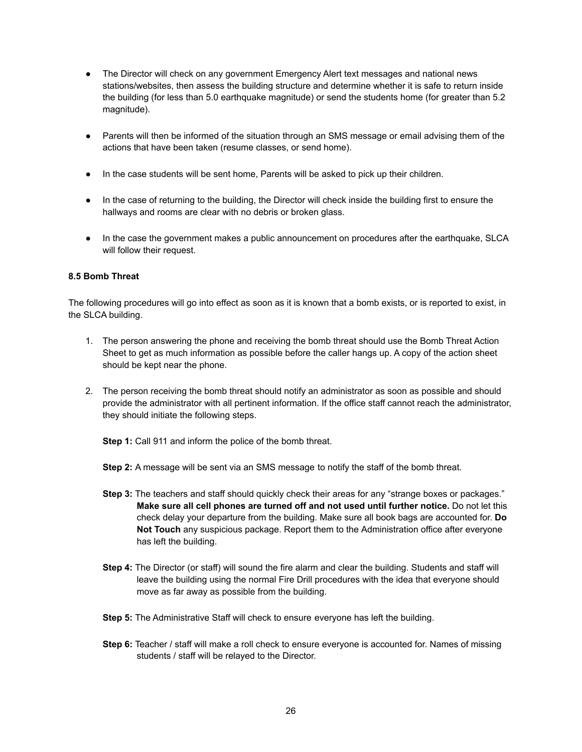- The Director will check on any government Emergency Alert text messages and national news stations/websites, then assess the building structure and determine whether it is safe to return inside the building (for less than 5.0 earthquake magnitude) or send the students home (for greater than 5.2 magnitude).
- Parents will then be informed of the situation through an SMS message or email advising them of the actions that have been taken (resume classes, or send home).
- In the case students will be sent home, Parents will be asked to pick up their children.
- In the case of returning to the building, the Director will check inside the building first to ensure the hallways and rooms are clear with no debris or broken glass.
- In the case the government makes a public announcement on procedures after the earthquake, SLCA will follow their request.

#### <span id="page-25-0"></span>**8.5 Bomb Threat**

The following procedures will go into effect as soon as it is known that a bomb exists, or is reported to exist, in the SLCA building.

- 1. The person answering the phone and receiving the bomb threat should use the Bomb Threat Action Sheet to get as much information as possible before the caller hangs up. A copy of the action sheet should be kept near the phone.
- 2. The person receiving the bomb threat should notify an administrator as soon as possible and should provide the administrator with all pertinent information. If the office staff cannot reach the administrator, they should initiate the following steps.

**Step 1:** Call 911 and inform the police of the bomb threat.

- **Step 2:** A message will be sent via an SMS message to notify the staff of the bomb threat.
- **Step 3:** The teachers and staff should quickly check their areas for any "strange boxes or packages." **Make sure all cell phones are turned off and not used until further notice.** Do not let this check delay your departure from the building. Make sure all book bags are accounted for. **Do Not Touch** any suspicious package. Report them to the Administration office after everyone has left the building.
- **Step 4:** The Director (or staff) will sound the fire alarm and clear the building. Students and staff will leave the building using the normal Fire Drill procedures with the idea that everyone should move as far away as possible from the building.
- **Step 5:** The Administrative Staff will check to ensure everyone has left the building.
- **Step 6:** Teacher / staff will make a roll check to ensure everyone is accounted for. Names of missing students / staff will be relayed to the Director.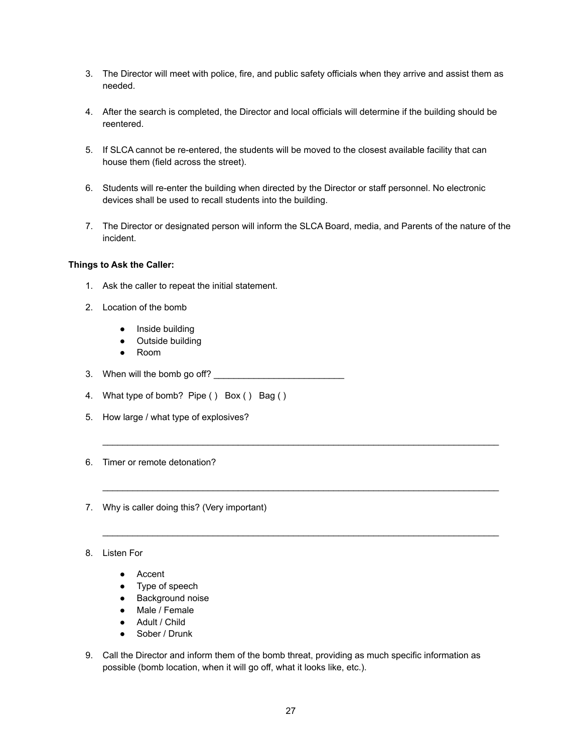- 3. The Director will meet with police, fire, and public safety officials when they arrive and assist them as needed.
- 4. After the search is completed, the Director and local officials will determine if the building should be reentered.
- 5. If SLCA cannot be re-entered, the students will be moved to the closest available facility that can house them (field across the street).
- 6. Students will re-enter the building when directed by the Director or staff personnel. No electronic devices shall be used to recall students into the building.
- 7. The Director or designated person will inform the SLCA Board, media, and Parents of the nature of the incident.

\_\_\_\_\_\_\_\_\_\_\_\_\_\_\_\_\_\_\_\_\_\_\_\_\_\_\_\_\_\_\_\_\_\_\_\_\_\_\_\_\_\_\_\_\_\_\_\_\_\_\_\_\_\_\_\_\_\_\_\_\_\_\_\_\_\_\_\_\_\_\_\_\_\_\_\_\_\_\_

\_\_\_\_\_\_\_\_\_\_\_\_\_\_\_\_\_\_\_\_\_\_\_\_\_\_\_\_\_\_\_\_\_\_\_\_\_\_\_\_\_\_\_\_\_\_\_\_\_\_\_\_\_\_\_\_\_\_\_\_\_\_\_\_\_\_\_\_\_\_\_\_\_\_\_\_\_\_\_

\_\_\_\_\_\_\_\_\_\_\_\_\_\_\_\_\_\_\_\_\_\_\_\_\_\_\_\_\_\_\_\_\_\_\_\_\_\_\_\_\_\_\_\_\_\_\_\_\_\_\_\_\_\_\_\_\_\_\_\_\_\_\_\_\_\_\_\_\_\_\_\_\_\_\_\_\_\_\_

#### **Things to Ask the Caller:**

- 1. Ask the caller to repeat the initial statement.
- 2. Location of the bomb
	- Inside building
	- Outside building
	- Room

3. When will the bomb go off? \_\_\_\_\_\_\_\_\_\_\_\_\_\_\_\_\_\_\_\_\_\_\_\_\_\_

- 4. What type of bomb? Pipe ( ) Box ( ) Bag ( )
- 5. How large / what type of explosives?
- 6. Timer or remote detonation?
- 7. Why is caller doing this? (Very important)

#### 8. Listen For

- Accent
- Type of speech
- Background noise
- Male / Female
- Adult / Child
- Sober / Drunk
- 9. Call the Director and inform them of the bomb threat, providing as much specific information as possible (bomb location, when it will go off, what it looks like, etc.).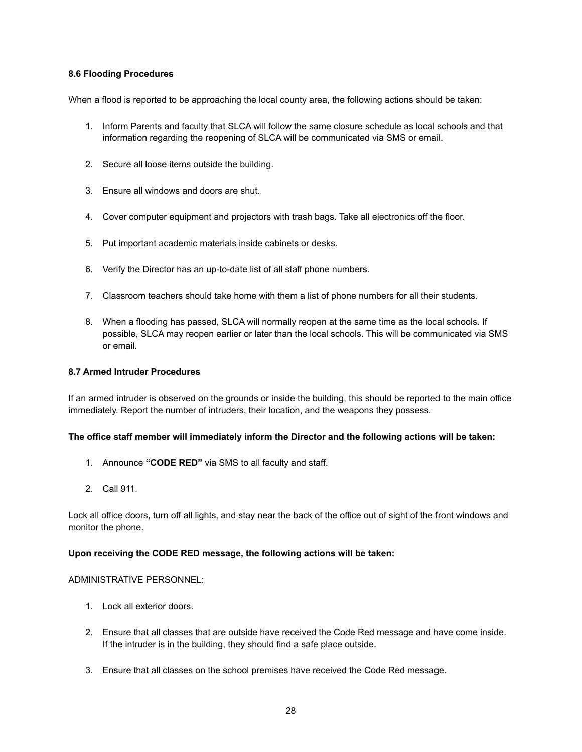#### <span id="page-27-0"></span>**8.6 Flooding Procedures**

When a flood is reported to be approaching the local county area, the following actions should be taken:

- 1. Inform Parents and faculty that SLCA will follow the same closure schedule as local schools and that information regarding the reopening of SLCA will be communicated via SMS or email.
- 2. Secure all loose items outside the building.
- 3. Ensure all windows and doors are shut.
- 4. Cover computer equipment and projectors with trash bags. Take all electronics off the floor.
- 5. Put important academic materials inside cabinets or desks.
- 6. Verify the Director has an up-to-date list of all staff phone numbers.
- 7. Classroom teachers should take home with them a list of phone numbers for all their students.
- 8. When a flooding has passed, SLCA will normally reopen at the same time as the local schools. If possible, SLCA may reopen earlier or later than the local schools. This will be communicated via SMS or email.

#### <span id="page-27-1"></span>**8.7 Armed Intruder Procedures**

If an armed intruder is observed on the grounds or inside the building, this should be reported to the main office immediately. Report the number of intruders, their location, and the weapons they possess.

#### **The office staff member will immediately inform the Director and the following actions will be taken:**

- 1. Announce **"CODE RED"** via SMS to all faculty and staff.
- 2. Call 911.

Lock all office doors, turn off all lights, and stay near the back of the office out of sight of the front windows and monitor the phone.

#### **Upon receiving the CODE RED message, the following actions will be taken:**

#### ADMINISTRATIVE PERSONNEL:

- 1. Lock all exterior doors.
- 2. Ensure that all classes that are outside have received the Code Red message and have come inside. If the intruder is in the building, they should find a safe place outside.
- 3. Ensure that all classes on the school premises have received the Code Red message.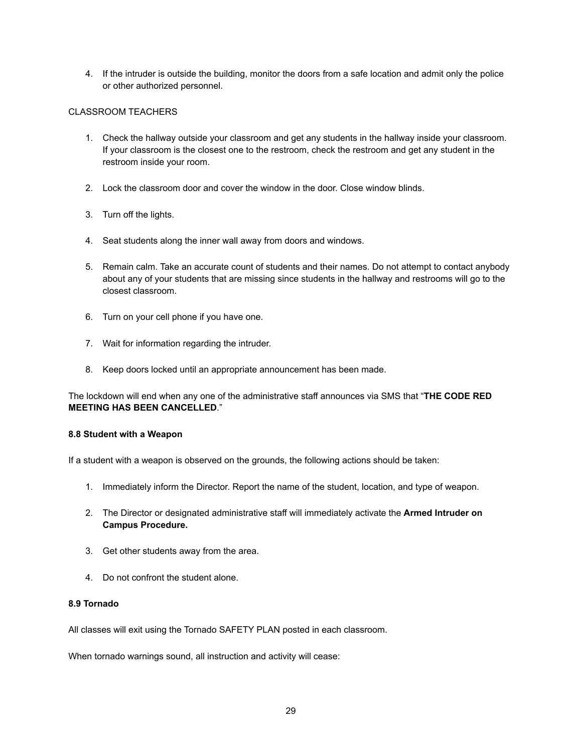4. If the intruder is outside the building, monitor the doors from a safe location and admit only the police or other authorized personnel.

#### CLASSROOM TEACHERS

- 1. Check the hallway outside your classroom and get any students in the hallway inside your classroom. If your classroom is the closest one to the restroom, check the restroom and get any student in the restroom inside your room.
- 2. Lock the classroom door and cover the window in the door. Close window blinds.
- 3. Turn off the lights.
- 4. Seat students along the inner wall away from doors and windows.
- 5. Remain calm. Take an accurate count of students and their names. Do not attempt to contact anybody about any of your students that are missing since students in the hallway and restrooms will go to the closest classroom.
- 6. Turn on your cell phone if you have one.
- 7. Wait for information regarding the intruder.
- 8. Keep doors locked until an appropriate announcement has been made.

The lockdown will end when any one of the administrative staff announces via SMS that "**THE CODE RED MEETING HAS BEEN CANCELLED**."

#### <span id="page-28-0"></span>**8.8 Student with a Weapon**

If a student with a weapon is observed on the grounds, the following actions should be taken:

- 1. Immediately inform the Director. Report the name of the student, location, and type of weapon.
- 2. The Director or designated administrative staff will immediately activate the **Armed Intruder on Campus Procedure.**
- 3. Get other students away from the area.
- 4. Do not confront the student alone.

#### <span id="page-28-1"></span>**8.9 Tornado**

All classes will exit using the Tornado SAFETY PLAN posted in each classroom.

When tornado warnings sound, all instruction and activity will cease: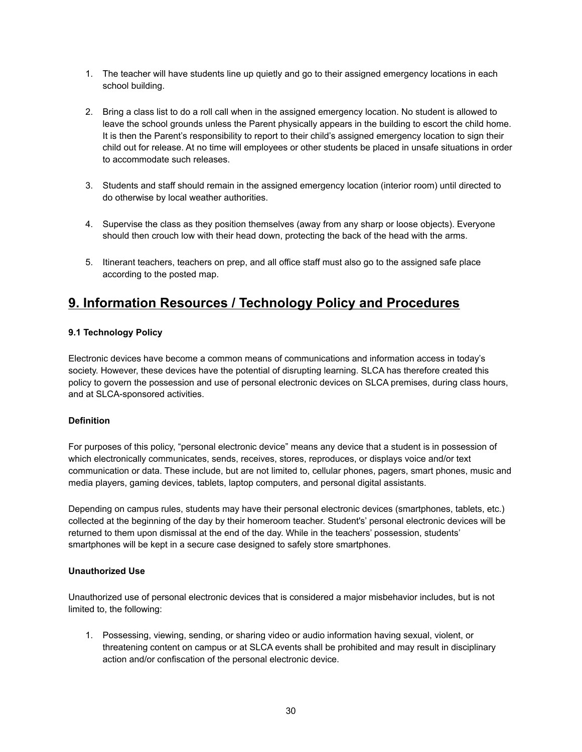- 1. The teacher will have students line up quietly and go to their assigned emergency locations in each school building.
- 2. Bring a class list to do a roll call when in the assigned emergency location. No student is allowed to leave the school grounds unless the Parent physically appears in the building to escort the child home. It is then the Parent's responsibility to report to their child's assigned emergency location to sign their child out for release. At no time will employees or other students be placed in unsafe situations in order to accommodate such releases.
- 3. Students and staff should remain in the assigned emergency location (interior room) until directed to do otherwise by local weather authorities.
- 4. Supervise the class as they position themselves (away from any sharp or loose objects). Everyone should then crouch low with their head down, protecting the back of the head with the arms.
- 5. Itinerant teachers, teachers on prep, and all office staff must also go to the assigned safe place according to the posted map.

### <span id="page-29-0"></span>**9. Information Resources / Technology Policy and Procedures**

#### <span id="page-29-1"></span>**9.1 Technology Policy**

Electronic devices have become a common means of communications and information access in today's society. However, these devices have the potential of disrupting learning. SLCA has therefore created this policy to govern the possession and use of personal electronic devices on SLCA premises, during class hours, and at SLCA-sponsored activities.

#### **Definition**

For purposes of this policy, "personal electronic device" means any device that a student is in possession of which electronically communicates, sends, receives, stores, reproduces, or displays voice and/or text communication or data. These include, but are not limited to, cellular phones, pagers, smart phones, music and media players, gaming devices, tablets, laptop computers, and personal digital assistants.

Depending on campus rules, students may have their personal electronic devices (smartphones, tablets, etc.) collected at the beginning of the day by their homeroom teacher. Student's' personal electronic devices will be returned to them upon dismissal at the end of the day. While in the teachers' possession, students' smartphones will be kept in a secure case designed to safely store smartphones.

#### **Unauthorized Use**

Unauthorized use of personal electronic devices that is considered a major misbehavior includes, but is not limited to, the following:

1. Possessing, viewing, sending, or sharing video or audio information having sexual, violent, or threatening content on campus or at SLCA events shall be prohibited and may result in disciplinary action and/or confiscation of the personal electronic device.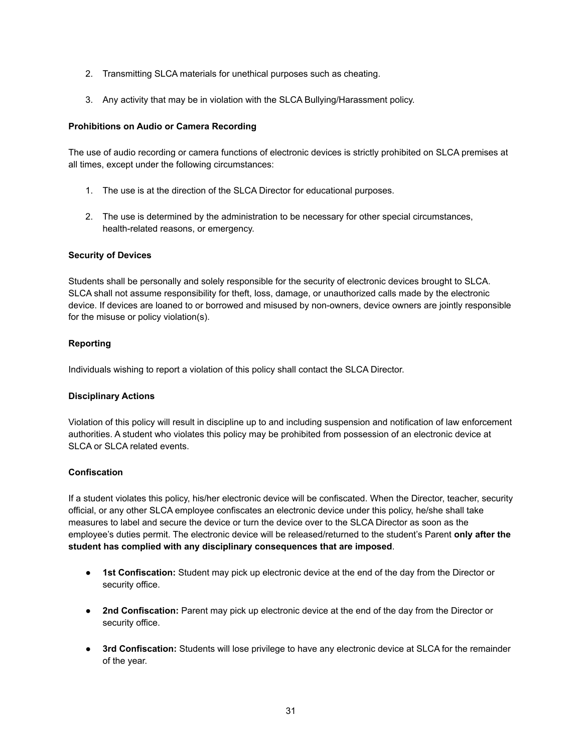- 2. Transmitting SLCA materials for unethical purposes such as cheating.
- 3. Any activity that may be in violation with the SLCA Bullying/Harassment policy.

#### **Prohibitions on Audio or Camera Recording**

The use of audio recording or camera functions of electronic devices is strictly prohibited on SLCA premises at all times, except under the following circumstances:

- 1. The use is at the direction of the SLCA Director for educational purposes.
- 2. The use is determined by the administration to be necessary for other special circumstances, health-related reasons, or emergency.

#### **Security of Devices**

Students shall be personally and solely responsible for the security of electronic devices brought to SLCA. SLCA shall not assume responsibility for theft, loss, damage, or unauthorized calls made by the electronic device. If devices are loaned to or borrowed and misused by non-owners, device owners are jointly responsible for the misuse or policy violation(s).

#### **Reporting**

Individuals wishing to report a violation of this policy shall contact the SLCA Director.

#### **Disciplinary Actions**

Violation of this policy will result in discipline up to and including suspension and notification of law enforcement authorities. A student who violates this policy may be prohibited from possession of an electronic device at SLCA or SLCA related events.

#### **Confiscation**

If a student violates this policy, his/her electronic device will be confiscated. When the Director, teacher, security official, or any other SLCA employee confiscates an electronic device under this policy, he/she shall take measures to label and secure the device or turn the device over to the SLCA Director as soon as the employee's duties permit. The electronic device will be released/returned to the student's Parent **only after the student has complied with any disciplinary consequences that are imposed**.

- **1st Confiscation:** Student may pick up electronic device at the end of the day from the Director or security office.
- **2nd Confiscation:** Parent may pick up electronic device at the end of the day from the Director or security office.
- **3rd Confiscation:** Students will lose privilege to have any electronic device at SLCA for the remainder of the year.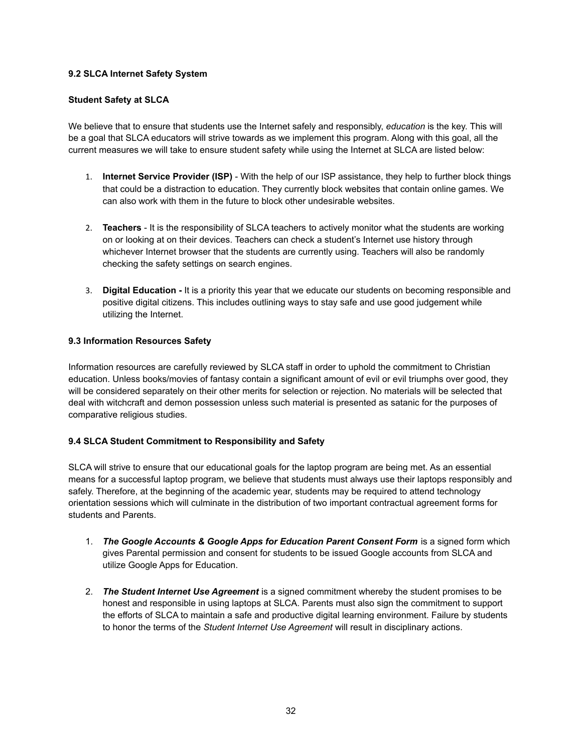#### <span id="page-31-0"></span>**9.2 SLCA Internet Safety System**

#### **Student Safety at SLCA**

We believe that to ensure that students use the Internet safely and responsibly, *education* is the key. This will be a goal that SLCA educators will strive towards as we implement this program. Along with this goal, all the current measures we will take to ensure student safety while using the Internet at SLCA are listed below:

- 1. **Internet Service Provider (ISP)** With the help of our ISP assistance, they help to further block things that could be a distraction to education. They currently block websites that contain online games. We can also work with them in the future to block other undesirable websites.
- 2. **Teachers** It is the responsibility of SLCA teachers to actively monitor what the students are working on or looking at on their devices. Teachers can check a student's Internet use history through whichever Internet browser that the students are currently using. Teachers will also be randomly checking the safety settings on search engines.
- 3. **Digital Education -** It is a priority this year that we educate our students on becoming responsible and positive digital citizens. This includes outlining ways to stay safe and use good judgement while utilizing the Internet.

#### <span id="page-31-1"></span>**9.3 Information Resources Safety**

Information resources are carefully reviewed by SLCA staff in order to uphold the commitment to Christian education. Unless books/movies of fantasy contain a significant amount of evil or evil triumphs over good, they will be considered separately on their other merits for selection or rejection. No materials will be selected that deal with witchcraft and demon possession unless such material is presented as satanic for the purposes of comparative religious studies.

#### <span id="page-31-2"></span>**9.4 SLCA Student Commitment to Responsibility and Safety**

SLCA will strive to ensure that our educational goals for the laptop program are being met. As an essential means for a successful laptop program, we believe that students must always use their laptops responsibly and safely. Therefore, at the beginning of the academic year, students may be required to attend technology orientation sessions which will culminate in the distribution of two important contractual agreement forms for students and Parents.

- 1. *The Google Accounts & Google Apps for Education Parent Consent Form* is a signed form which gives Parental permission and consent for students to be issued Google accounts from SLCA and utilize Google Apps for Education.
- 2. *The Student Internet Use Agreement* is a signed commitment whereby the student promises to be honest and responsible in using laptops at SLCA. Parents must also sign the commitment to support the efforts of SLCA to maintain a safe and productive digital learning environment. Failure by students to honor the terms of the *Student Internet Use Agreement* will result in disciplinary actions.